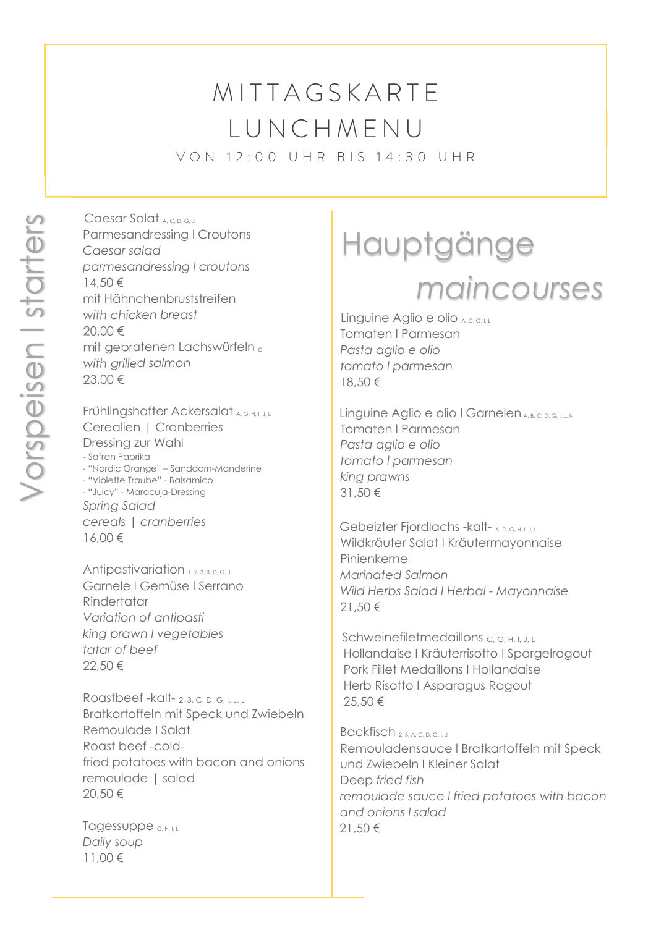## **MITTAGSKARTE** L U N C H M E N U

V O N 12:00 U H R B I S 14:30 U H R

Caesar Salat <sub>A, C, D, G, J</sub> Parmesandressing l Croutons Caesar salad parmesandressing l croutons 14,50 € mit Hähnchenbruststreifen with chicken breast 20,00 € mit gebratenen Lachswürfeln D with grilled salmon 23,00 € 21,50 € Clear School (2013)<br>
20 € Comes and design (Doublass Comes and design distributed by the control of the process of the control of the control of the control of the control of the control of the control of the cont

Frühlingshafter Ackersalat A, G, H, I, J, L Cerealien | Cranberries Dressing zur Wahl - Safran Paprika - "Nordic Orange" – Sanddorn-Manderine - "Violette Traube" - Balsamico - "Juicy" - Maracuja-Dressing Spring Salad cereals | cranberries 16,00 €

Antipastivariation 1, 2, 3, B, D, G, J Garnele l Gemüse l Serrano **Rindertatar**  Variation of antipasti king prawn l vegetables tatar of beef 22,50 €

 Roastbeef -kalt- 2, 3, C, D, G, I, J, L Bratkartoffeln mit Speck und Zwiebeln Remoulade I Salat Roast beef -cold fried potatoes with bacon and onions remoulade | salad 20,50 €

Tagessuppe G, H, I, L Daily soup 11,00 €

# maincourses

Linguine Aglio e olio <sub>A, C, G, I, L</sub> Tomaten l Parmesan Pasta aglio e olio tomato l parmesan 18,50 €

Linguine Aglio e olio I Garnelen A, B, C, D, G, I, L, N Tomaten l Parmesan Pasta aglio e olio tomato l parmesan king prawns 31,50 €

Gebeizter Fjordlachs -kalt- A, D, G, H, I, J, L Wildkräuter Salat I Kräutermayonnaise Pinienkerne Marinated Salmon Wild Herbs Salad I Herbal - Mayonnaise 21,50 €

Schweinefiletmedaillons C, G, H, I, J, L Hollandaise I Kräuterrisotto I Spargelragout Pork Fillet Medaillons I Hollandaise Herb Risotto I Asparagus Ragout 25,50 €

Backfisch 2, 3, A, C, D, G, L, J

 Remouladensauce l Bratkartoffeln mit Speck und Zwiebeln I Kleiner Salat Deep fried fish remoulade sauce l fried potatoes with bacon and onions l salad